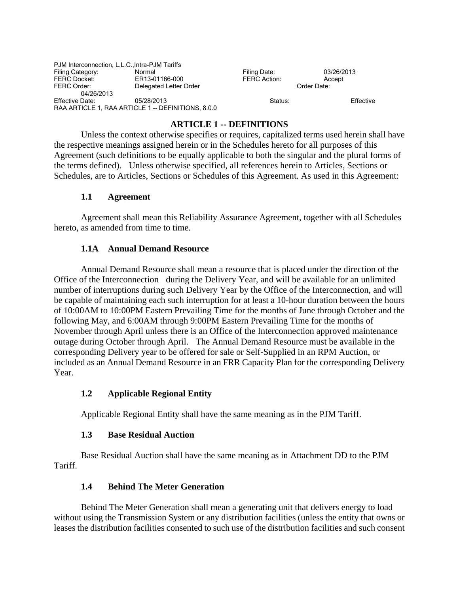| PJM Interconnection, L.L.C., Intra-PJM Tariffs |                                                    |                     |            |
|------------------------------------------------|----------------------------------------------------|---------------------|------------|
| Filing Category:                               | Normal                                             | Filing Date:        | 03/26/2013 |
| <b>FERC Docket:</b>                            | ER13-01166-000                                     | <b>FERC Action:</b> | Accept     |
| FERC Order:                                    | Delegated Letter Order                             | Order Date:         |            |
| 04/26/2013                                     |                                                    |                     |            |
| Effective Date:                                | 05/28/2013                                         | Status:             | Effective  |
|                                                | RAA ARTICLE 1, RAA ARTICLE 1 -- DEFINITIONS, 8.0.0 |                     |            |

## **ARTICLE 1 -- DEFINITIONS**

Unless the context otherwise specifies or requires, capitalized terms used herein shall have the respective meanings assigned herein or in the Schedules hereto for all purposes of this Agreement (such definitions to be equally applicable to both the singular and the plural forms of the terms defined). Unless otherwise specified, all references herein to Articles, Sections or Schedules, are to Articles, Sections or Schedules of this Agreement. As used in this Agreement:

#### **1.1 Agreement**

Agreement shall mean this Reliability Assurance Agreement, together with all Schedules hereto, as amended from time to time.

#### **1.1A Annual Demand Resource**

 Annual Demand Resource shall mean a resource that is placed under the direction of the Office of the Interconnection during the Delivery Year, and will be available for an unlimited number of interruptions during such Delivery Year by the Office of the Interconnection, and will be capable of maintaining each such interruption for at least a 10-hour duration between the hours of 10:00AM to 10:00PM Eastern Prevailing Time for the months of June through October and the following May, and 6:00AM through 9:00PM Eastern Prevailing Time for the months of November through April unless there is an Office of the Interconnection approved maintenance outage during October through April. The Annual Demand Resource must be available in the corresponding Delivery year to be offered for sale or Self-Supplied in an RPM Auction, or included as an Annual Demand Resource in an FRR Capacity Plan for the corresponding Delivery Year.

### **1.2 Applicable Regional Entity**

Applicable Regional Entity shall have the same meaning as in the PJM Tariff.

### **1.3 Base Residual Auction**

Base Residual Auction shall have the same meaning as in Attachment DD to the PJM Tariff.

### **1.4 Behind The Meter Generation**

Behind The Meter Generation shall mean a generating unit that delivers energy to load without using the Transmission System or any distribution facilities (unless the entity that owns or leases the distribution facilities consented to such use of the distribution facilities and such consent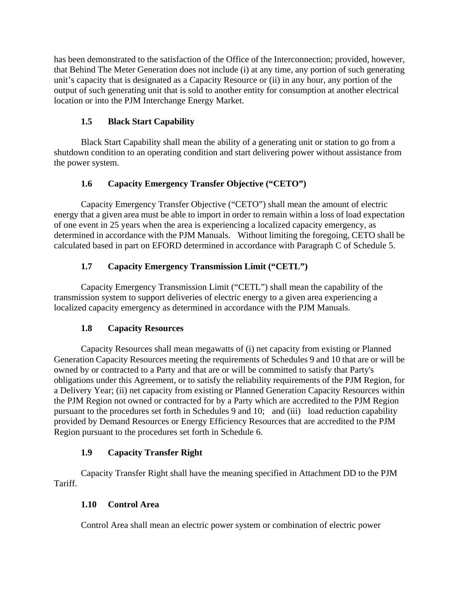has been demonstrated to the satisfaction of the Office of the Interconnection; provided, however, that Behind The Meter Generation does not include (i) at any time, any portion of such generating unit's capacity that is designated as a Capacity Resource or (ii) in any hour, any portion of the output of such generating unit that is sold to another entity for consumption at another electrical location or into the PJM Interchange Energy Market.

## **1.5 Black Start Capability**

Black Start Capability shall mean the ability of a generating unit or station to go from a shutdown condition to an operating condition and start delivering power without assistance from the power system.

# **1.6 Capacity Emergency Transfer Objective ("CETO")**

Capacity Emergency Transfer Objective ("CETO") shall mean the amount of electric energy that a given area must be able to import in order to remain within a loss of load expectation of one event in 25 years when the area is experiencing a localized capacity emergency, as determined in accordance with the PJM Manuals. Without limiting the foregoing, CETO shall be calculated based in part on EFORD determined in accordance with Paragraph C of Schedule 5.

# **1.7 Capacity Emergency Transmission Limit ("CETL")**

Capacity Emergency Transmission Limit ("CETL") shall mean the capability of the transmission system to support deliveries of electric energy to a given area experiencing a localized capacity emergency as determined in accordance with the PJM Manuals.

# **1.8 Capacity Resources**

Capacity Resources shall mean megawatts of (i) net capacity from existing or Planned Generation Capacity Resources meeting the requirements of Schedules 9 and 10 that are or will be owned by or contracted to a Party and that are or will be committed to satisfy that Party's obligations under this Agreement, or to satisfy the reliability requirements of the PJM Region, for a Delivery Year; (ii) net capacity from existing or Planned Generation Capacity Resources within the PJM Region not owned or contracted for by a Party which are accredited to the PJM Region pursuant to the procedures set forth in Schedules 9 and 10; and (iii) load reduction capability provided by Demand Resources or Energy Efficiency Resources that are accredited to the PJM Region pursuant to the procedures set forth in Schedule 6.

# **1.9 Capacity Transfer Right**

Capacity Transfer Right shall have the meaning specified in Attachment DD to the PJM Tariff.

# **1.10 Control Area**

Control Area shall mean an electric power system or combination of electric power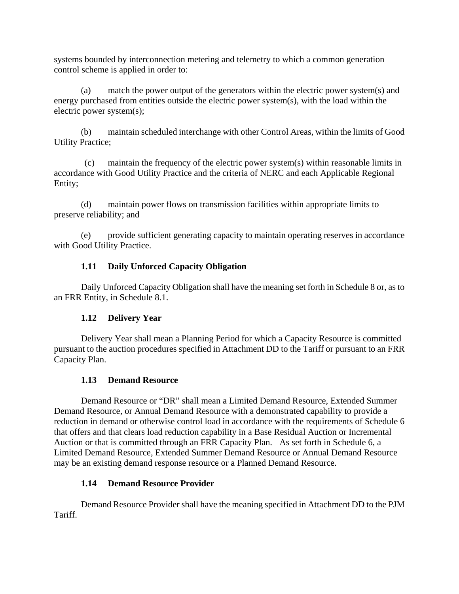systems bounded by interconnection metering and telemetry to which a common generation control scheme is applied in order to:

 (a) match the power output of the generators within the electric power system(s) and energy purchased from entities outside the electric power system(s), with the load within the electric power system(s);

 (b) maintain scheduled interchange with other Control Areas, within the limits of Good Utility Practice;

 (c) maintain the frequency of the electric power system(s) within reasonable limits in accordance with Good Utility Practice and the criteria of NERC and each Applicable Regional Entity;

 (d) maintain power flows on transmission facilities within appropriate limits to preserve reliability; and

 (e) provide sufficient generating capacity to maintain operating reserves in accordance with Good Utility Practice.

## **1.11 Daily Unforced Capacity Obligation**

Daily Unforced Capacity Obligation shall have the meaning set forth in Schedule 8 or, as to an FRR Entity, in Schedule 8.1.

## **1.12 Delivery Year**

Delivery Year shall mean a Planning Period for which a Capacity Resource is committed pursuant to the auction procedures specified in Attachment DD to the Tariff or pursuant to an FRR Capacity Plan.

## **1.13 Demand Resource**

Demand Resource or "DR" shall mean a Limited Demand Resource, Extended Summer Demand Resource, or Annual Demand Resource with a demonstrated capability to provide a reduction in demand or otherwise control load in accordance with the requirements of Schedule 6 that offers and that clears load reduction capability in a Base Residual Auction or Incremental Auction or that is committed through an FRR Capacity Plan. As set forth in Schedule 6, a Limited Demand Resource, Extended Summer Demand Resource or Annual Demand Resource may be an existing demand response resource or a Planned Demand Resource.

### **1.14 Demand Resource Provider**

Demand Resource Provider shall have the meaning specified in Attachment DD to the PJM Tariff.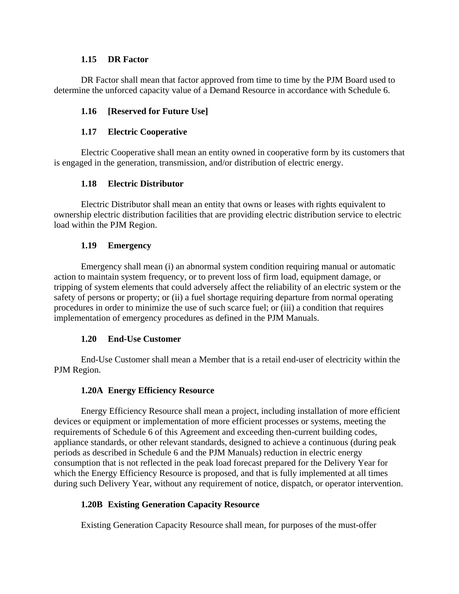#### **1.15 DR Factor**

DR Factor shall mean that factor approved from time to time by the PJM Board used to determine the unforced capacity value of a Demand Resource in accordance with Schedule 6.

### **1.16 [Reserved for Future Use]**

### **1.17 Electric Cooperative**

Electric Cooperative shall mean an entity owned in cooperative form by its customers that is engaged in the generation, transmission, and/or distribution of electric energy.

### **1.18 Electric Distributor**

Electric Distributor shall mean an entity that owns or leases with rights equivalent to ownership electric distribution facilities that are providing electric distribution service to electric load within the PJM Region.

#### **1.19 Emergency**

Emergency shall mean (i) an abnormal system condition requiring manual or automatic action to maintain system frequency, or to prevent loss of firm load, equipment damage, or tripping of system elements that could adversely affect the reliability of an electric system or the safety of persons or property; or (ii) a fuel shortage requiring departure from normal operating procedures in order to minimize the use of such scarce fuel; or (iii) a condition that requires implementation of emergency procedures as defined in the PJM Manuals.

### **1.20 End-Use Customer**

End-Use Customer shall mean a Member that is a retail end-user of electricity within the PJM Region.

### **1.20A Energy Efficiency Resource**

Energy Efficiency Resource shall mean a project, including installation of more efficient devices or equipment or implementation of more efficient processes or systems, meeting the requirements of Schedule 6 of this Agreement and exceeding then-current building codes, appliance standards, or other relevant standards, designed to achieve a continuous (during peak periods as described in Schedule 6 and the PJM Manuals) reduction in electric energy consumption that is not reflected in the peak load forecast prepared for the Delivery Year for which the Energy Efficiency Resource is proposed, and that is fully implemented at all times during such Delivery Year, without any requirement of notice, dispatch, or operator intervention.

### **1.20B Existing Generation Capacity Resource**

Existing Generation Capacity Resource shall mean, for purposes of the must-offer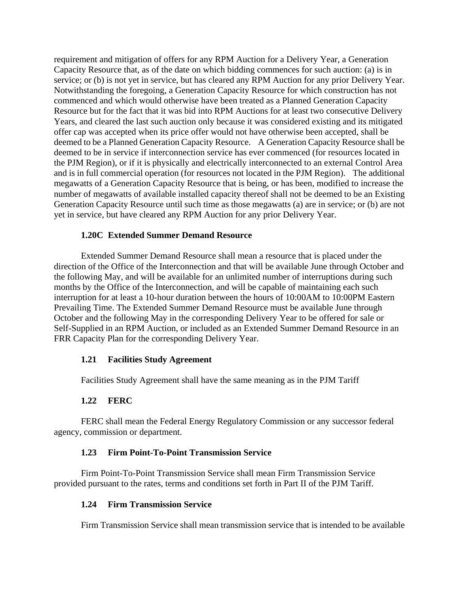requirement and mitigation of offers for any RPM Auction for a Delivery Year, a Generation Capacity Resource that, as of the date on which bidding commences for such auction: (a) is in service; or (b) is not yet in service, but has cleared any RPM Auction for any prior Delivery Year. Notwithstanding the foregoing, a Generation Capacity Resource for which construction has not commenced and which would otherwise have been treated as a Planned Generation Capacity Resource but for the fact that it was bid into RPM Auctions for at least two consecutive Delivery Years, and cleared the last such auction only because it was considered existing and its mitigated offer cap was accepted when its price offer would not have otherwise been accepted, shall be deemed to be a Planned Generation Capacity Resource. A Generation Capacity Resource shall be deemed to be in service if interconnection service has ever commenced (for resources located in the PJM Region), or if it is physically and electrically interconnected to an external Control Area and is in full commercial operation (for resources not located in the PJM Region). The additional megawatts of a Generation Capacity Resource that is being, or has been, modified to increase the number of megawatts of available installed capacity thereof shall not be deemed to be an Existing Generation Capacity Resource until such time as those megawatts (a) are in service; or (b) are not yet in service, but have cleared any RPM Auction for any prior Delivery Year.

#### **1.20C Extended Summer Demand Resource**

 Extended Summer Demand Resource shall mean a resource that is placed under the direction of the Office of the Interconnection and that will be available June through October and the following May, and will be available for an unlimited number of interruptions during such months by the Office of the Interconnection, and will be capable of maintaining each such interruption for at least a 10-hour duration between the hours of 10:00AM to 10:00PM Eastern Prevailing Time. The Extended Summer Demand Resource must be available June through October and the following May in the corresponding Delivery Year to be offered for sale or Self-Supplied in an RPM Auction, or included as an Extended Summer Demand Resource in an FRR Capacity Plan for the corresponding Delivery Year.

#### **1.21 Facilities Study Agreement**

Facilities Study Agreement shall have the same meaning as in the PJM Tariff

### **1.22 FERC**

FERC shall mean the Federal Energy Regulatory Commission or any successor federal agency, commission or department.

#### **1.23 Firm Point-To-Point Transmission Service**

Firm Point-To-Point Transmission Service shall mean Firm Transmission Service provided pursuant to the rates, terms and conditions set forth in Part II of the PJM Tariff.

#### **1.24 Firm Transmission Service**

Firm Transmission Service shall mean transmission service that is intended to be available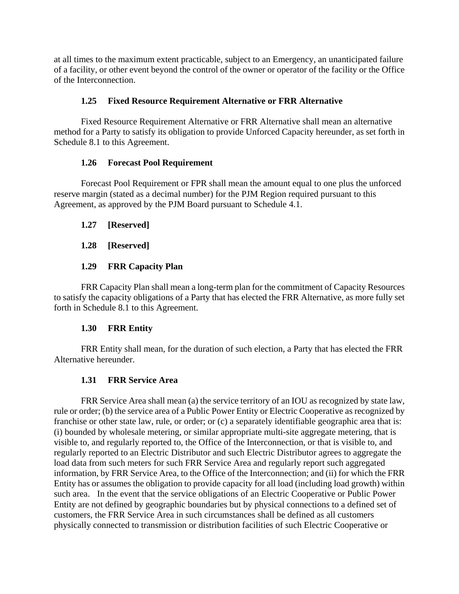at all times to the maximum extent practicable, subject to an Emergency, an unanticipated failure of a facility, or other event beyond the control of the owner or operator of the facility or the Office of the Interconnection.

### **1.25 Fixed Resource Requirement Alternative or FRR Alternative**

Fixed Resource Requirement Alternative or FRR Alternative shall mean an alternative method for a Party to satisfy its obligation to provide Unforced Capacity hereunder, as set forth in Schedule 8.1 to this Agreement.

### **1.26 Forecast Pool Requirement**

Forecast Pool Requirement or FPR shall mean the amount equal to one plus the unforced reserve margin (stated as a decimal number) for the PJM Region required pursuant to this Agreement, as approved by the PJM Board pursuant to Schedule 4.1.

### **1.27 [Reserved]**

### **1.28 [Reserved]**

## **1.29 FRR Capacity Plan**

FRR Capacity Plan shall mean a long-term plan for the commitment of Capacity Resources to satisfy the capacity obligations of a Party that has elected the FRR Alternative, as more fully set forth in Schedule 8.1 to this Agreement.

### **1.30 FRR Entity**

FRR Entity shall mean, for the duration of such election, a Party that has elected the FRR Alternative hereunder.

## **1.31 FRR Service Area**

FRR Service Area shall mean (a) the service territory of an IOU as recognized by state law, rule or order; (b) the service area of a Public Power Entity or Electric Cooperative as recognized by franchise or other state law, rule, or order; or (c) a separately identifiable geographic area that is: (i) bounded by wholesale metering, or similar appropriate multi-site aggregate metering, that is visible to, and regularly reported to, the Office of the Interconnection, or that is visible to, and regularly reported to an Electric Distributor and such Electric Distributor agrees to aggregate the load data from such meters for such FRR Service Area and regularly report such aggregated information, by FRR Service Area, to the Office of the Interconnection; and (ii) for which the FRR Entity has or assumes the obligation to provide capacity for all load (including load growth) within such area. In the event that the service obligations of an Electric Cooperative or Public Power Entity are not defined by geographic boundaries but by physical connections to a defined set of customers, the FRR Service Area in such circumstances shall be defined as all customers physically connected to transmission or distribution facilities of such Electric Cooperative or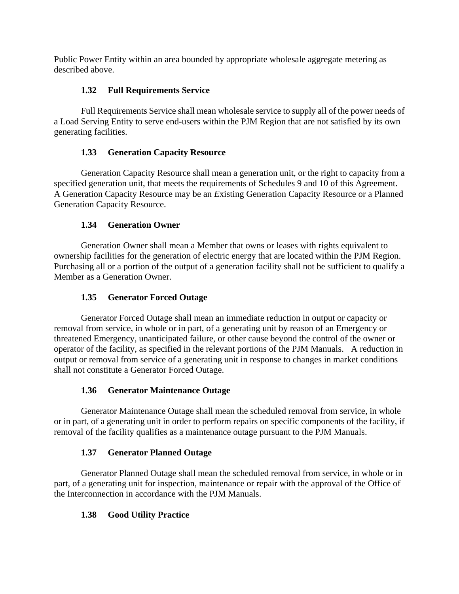Public Power Entity within an area bounded by appropriate wholesale aggregate metering as described above.

### **1.32 Full Requirements Service**

Full Requirements Service shall mean wholesale service to supply all of the power needs of a Load Serving Entity to serve end-users within the PJM Region that are not satisfied by its own generating facilities.

### **1.33 Generation Capacity Resource**

Generation Capacity Resource shall mean a generation unit, or the right to capacity from a specified generation unit, that meets the requirements of Schedules 9 and 10 of this Agreement. A Generation Capacity Resource may be an *E*xisting Generation Capacity Resource or a Planned Generation Capacity Resource.

### **1.34 Generation Owner**

Generation Owner shall mean a Member that owns or leases with rights equivalent to ownership facilities for the generation of electric energy that are located within the PJM Region. Purchasing all or a portion of the output of a generation facility shall not be sufficient to qualify a Member as a Generation Owner.

### **1.35 Generator Forced Outage**

Generator Forced Outage shall mean an immediate reduction in output or capacity or removal from service, in whole or in part, of a generating unit by reason of an Emergency or threatened Emergency, unanticipated failure, or other cause beyond the control of the owner or operator of the facility, as specified in the relevant portions of the PJM Manuals. A reduction in output or removal from service of a generating unit in response to changes in market conditions shall not constitute a Generator Forced Outage.

### **1.36 Generator Maintenance Outage**

Generator Maintenance Outage shall mean the scheduled removal from service, in whole or in part, of a generating unit in order to perform repairs on specific components of the facility, if removal of the facility qualifies as a maintenance outage pursuant to the PJM Manuals.

### **1.37 Generator Planned Outage**

Generator Planned Outage shall mean the scheduled removal from service, in whole or in part, of a generating unit for inspection, maintenance or repair with the approval of the Office of the Interconnection in accordance with the PJM Manuals.

## **1.38 Good Utility Practice**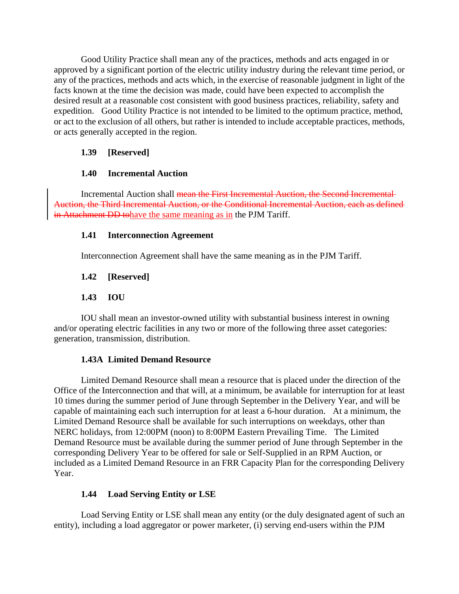Good Utility Practice shall mean any of the practices, methods and acts engaged in or approved by a significant portion of the electric utility industry during the relevant time period, or any of the practices, methods and acts which, in the exercise of reasonable judgment in light of the facts known at the time the decision was made, could have been expected to accomplish the desired result at a reasonable cost consistent with good business practices, reliability, safety and expedition. Good Utility Practice is not intended to be limited to the optimum practice, method, or act to the exclusion of all others, but rather is intended to include acceptable practices, methods, or acts generally accepted in the region.

### **1.39 [Reserved]**

### **1.40 Incremental Auction**

Incremental Auction shall mean the First Incremental Auction, the Second Incremental Auction, the Third Incremental Auction, or the Conditional Incremental Auction, each as defined in Attachment DD tohave the same meaning as in the PJM Tariff.

### **1.41 Interconnection Agreement**

Interconnection Agreement shall have the same meaning as in the PJM Tariff.

### **1.42 [Reserved]**

### **1.43 IOU**

IOU shall mean an investor-owned utility with substantial business interest in owning and/or operating electric facilities in any two or more of the following three asset categories: generation, transmission, distribution.

### **1.43A Limited Demand Resource**

Limited Demand Resource shall mean a resource that is placed under the direction of the Office of the Interconnection and that will, at a minimum, be available for interruption for at least 10 times during the summer period of June through September in the Delivery Year, and will be capable of maintaining each such interruption for at least a 6-hour duration. At a minimum, the Limited Demand Resource shall be available for such interruptions on weekdays, other than NERC holidays, from 12:00PM (noon) to 8:00PM Eastern Prevailing Time. The Limited Demand Resource must be available during the summer period of June through September in the corresponding Delivery Year to be offered for sale or Self-Supplied in an RPM Auction, or included as a Limited Demand Resource in an FRR Capacity Plan for the corresponding Delivery Year.

## **1.44 Load Serving Entity or LSE**

Load Serving Entity or LSE shall mean any entity (or the duly designated agent of such an entity), including a load aggregator or power marketer, (i) serving end-users within the PJM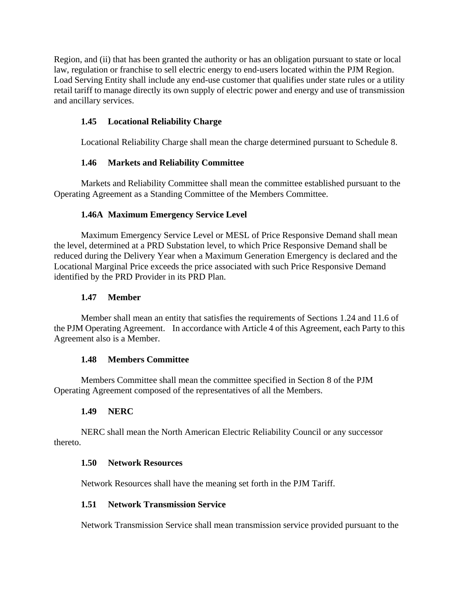Region, and (ii) that has been granted the authority or has an obligation pursuant to state or local law, regulation or franchise to sell electric energy to end-users located within the PJM Region. Load Serving Entity shall include any end-use customer that qualifies under state rules or a utility retail tariff to manage directly its own supply of electric power and energy and use of transmission and ancillary services.

### **1.45 Locational Reliability Charge**

Locational Reliability Charge shall mean the charge determined pursuant to Schedule 8.

### **1.46 Markets and Reliability Committee**

Markets and Reliability Committee shall mean the committee established pursuant to the Operating Agreement as a Standing Committee of the Members Committee.

### **1.46A Maximum Emergency Service Level**

Maximum Emergency Service Level or MESL of Price Responsive Demand shall mean the level, determined at a PRD Substation level, to which Price Responsive Demand shall be reduced during the Delivery Year when a Maximum Generation Emergency is declared and the Locational Marginal Price exceeds the price associated with such Price Responsive Demand identified by the PRD Provider in its PRD Plan.

### **1.47 Member**

Member shall mean an entity that satisfies the requirements of Sections 1.24 and 11.6 of the PJM Operating Agreement. In accordance with Article 4 of this Agreement, each Party to this Agreement also is a Member.

### **1.48 Members Committee**

Members Committee shall mean the committee specified in Section 8 of the PJM Operating Agreement composed of the representatives of all the Members.

## **1.49 NERC**

NERC shall mean the North American Electric Reliability Council or any successor thereto.

### **1.50 Network Resources**

Network Resources shall have the meaning set forth in the PJM Tariff.

### **1.51 Network Transmission Service**

Network Transmission Service shall mean transmission service provided pursuant to the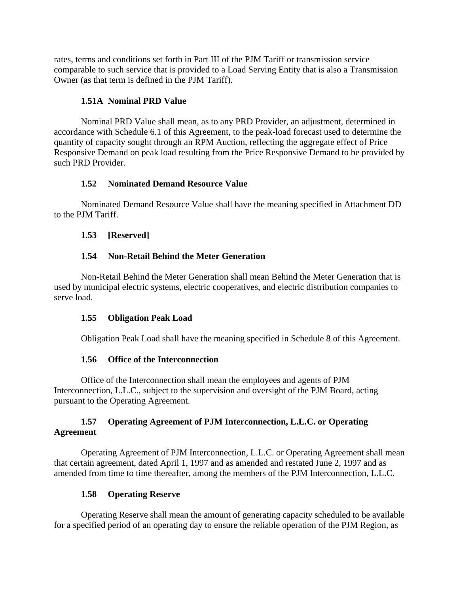rates, terms and conditions set forth in Part III of the PJM Tariff or transmission service comparable to such service that is provided to a Load Serving Entity that is also a Transmission Owner (as that term is defined in the PJM Tariff).

### **1.51A Nominal PRD Value**

Nominal PRD Value shall mean, as to any PRD Provider, an adjustment, determined in accordance with Schedule 6.1 of this Agreement, to the peak-load forecast used to determine the quantity of capacity sought through an RPM Auction, reflecting the aggregate effect of Price Responsive Demand on peak load resulting from the Price Responsive Demand to be provided by such PRD Provider.

### **1.52 Nominated Demand Resource Value**

Nominated Demand Resource Value shall have the meaning specified in Attachment DD to the PJM Tariff.

### **1.53 [Reserved]**

## **1.54 Non-Retail Behind the Meter Generation**

Non-Retail Behind the Meter Generation shall mean Behind the Meter Generation that is used by municipal electric systems, electric cooperatives, and electric distribution companies to serve load.

### **1.55 Obligation Peak Load**

Obligation Peak Load shall have the meaning specified in Schedule 8 of this Agreement.

### **1.56 Office of the Interconnection**

Office of the Interconnection shall mean the employees and agents of PJM Interconnection, L.L.C., subject to the supervision and oversight of the PJM Board, acting pursuant to the Operating Agreement.

### **1.57 Operating Agreement of PJM Interconnection, L.L.C. or Operating Agreement**

Operating Agreement of PJM Interconnection, L.L.C. or Operating Agreement shall mean that certain agreement, dated April 1, 1997 and as amended and restated June 2, 1997 and as amended from time to time thereafter, among the members of the PJM Interconnection, L.L.C.

### **1.58 Operating Reserve**

Operating Reserve shall mean the amount of generating capacity scheduled to be available for a specified period of an operating day to ensure the reliable operation of the PJM Region, as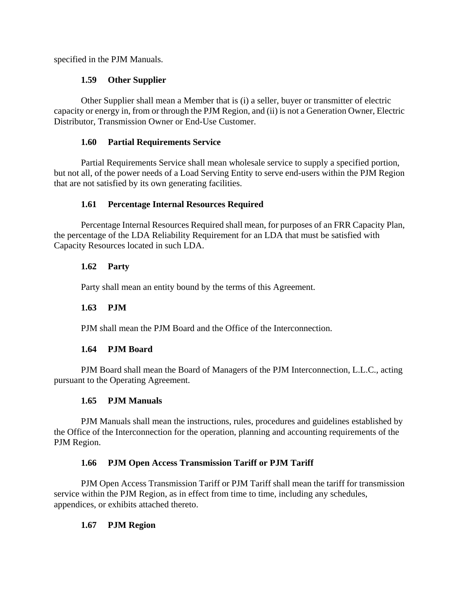specified in the PJM Manuals.

### **1.59 Other Supplier**

Other Supplier shall mean a Member that is (i) a seller, buyer or transmitter of electric capacity or energy in, from or through the PJM Region, and (ii) is not a Generation Owner, Electric Distributor, Transmission Owner or End-Use Customer.

### **1.60 Partial Requirements Service**

Partial Requirements Service shall mean wholesale service to supply a specified portion, but not all, of the power needs of a Load Serving Entity to serve end-users within the PJM Region that are not satisfied by its own generating facilities.

### **1.61 Percentage Internal Resources Required**

Percentage Internal Resources Required shall mean, for purposes of an FRR Capacity Plan, the percentage of the LDA Reliability Requirement for an LDA that must be satisfied with Capacity Resources located in such LDA.

### **1.62 Party**

Party shall mean an entity bound by the terms of this Agreement.

## **1.63 PJM**

PJM shall mean the PJM Board and the Office of the Interconnection.

### **1.64 PJM Board**

PJM Board shall mean the Board of Managers of the PJM Interconnection, L.L.C., acting pursuant to the Operating Agreement.

## **1.65 PJM Manuals**

PJM Manuals shall mean the instructions, rules, procedures and guidelines established by the Office of the Interconnection for the operation, planning and accounting requirements of the PJM Region.

### **1.66 PJM Open Access Transmission Tariff or PJM Tariff**

PJM Open Access Transmission Tariff or PJM Tariff shall mean the tariff for transmission service within the PJM Region, as in effect from time to time, including any schedules, appendices, or exhibits attached thereto.

### **1.67 PJM Region**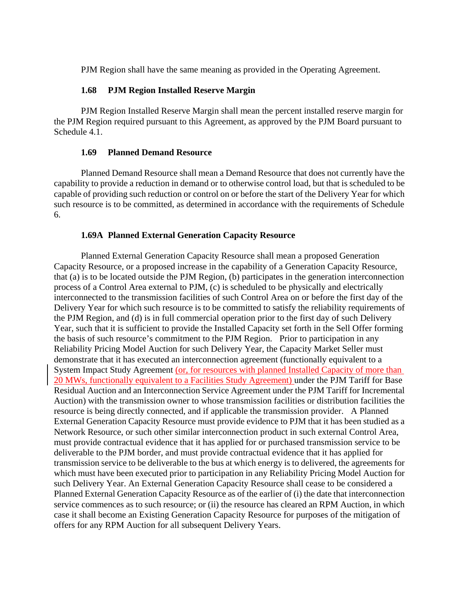PJM Region shall have the same meaning as provided in the Operating Agreement.

#### **1.68 PJM Region Installed Reserve Margin**

PJM Region Installed Reserve Margin shall mean the percent installed reserve margin for the PJM Region required pursuant to this Agreement, as approved by the PJM Board pursuant to Schedule 4.1.

#### **1.69 Planned Demand Resource**

Planned Demand Resource shall mean a Demand Resource that does not currently have the capability to provide a reduction in demand or to otherwise control load, but that is scheduled to be capable of providing such reduction or control on or before the start of the Delivery Year for which such resource is to be committed, as determined in accordance with the requirements of Schedule 6.

#### **1.69A Planned External Generation Capacity Resource**

Planned External Generation Capacity Resource shall mean a proposed Generation Capacity Resource, or a proposed increase in the capability of a Generation Capacity Resource, that (a) is to be located outside the PJM Region, (b) participates in the generation interconnection process of a Control Area external to PJM, (c) is scheduled to be physically and electrically interconnected to the transmission facilities of such Control Area on or before the first day of the Delivery Year for which such resource is to be committed to satisfy the reliability requirements of the PJM Region, and (d) is in full commercial operation prior to the first day of such Delivery Year, such that it is sufficient to provide the Installed Capacity set forth in the Sell Offer forming the basis of such resource's commitment to the PJM Region. Prior to participation in any Reliability Pricing Model Auction for such Delivery Year, the Capacity Market Seller must demonstrate that it has executed an interconnection agreement (functionally equivalent to a System Impact Study Agreement (or, for resources with planned Installed Capacity of more than 20 MWs, functionally equivalent to a Facilities Study Agreement) under the PJM Tariff for Base Residual Auction and an Interconnection Service Agreement under the PJM Tariff for Incremental Auction) with the transmission owner to whose transmission facilities or distribution facilities the resource is being directly connected, and if applicable the transmission provider. A Planned External Generation Capacity Resource must provide evidence to PJM that it has been studied as a Network Resource, or such other similar interconnection product in such external Control Area, must provide contractual evidence that it has applied for or purchased transmission service to be deliverable to the PJM border, and must provide contractual evidence that it has applied for transmission service to be deliverable to the bus at which energy is to delivered, the agreements for which must have been executed prior to participation in any Reliability Pricing Model Auction for such Delivery Year. An External Generation Capacity Resource shall cease to be considered a Planned External Generation Capacity Resource as of the earlier of (i) the date that interconnection service commences as to such resource; or (ii) the resource has cleared an RPM Auction, in which case it shall become an Existing Generation Capacity Resource for purposes of the mitigation of offers for any RPM Auction for all subsequent Delivery Years.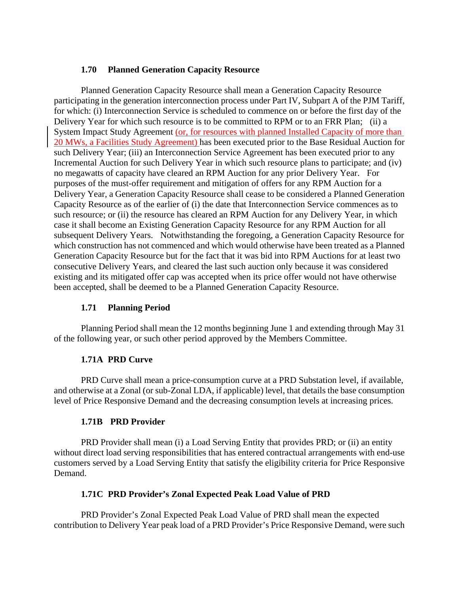#### **1.70 Planned Generation Capacity Resource**

Planned Generation Capacity Resource shall mean a Generation Capacity Resource participating in the generation interconnection process under Part IV, Subpart A of the PJM Tariff, for which: (i) Interconnection Service is scheduled to commence on or before the first day of the Delivery Year for which such resource is to be committed to RPM or to an FRR Plan; (ii) a System Impact Study Agreement (or, for resources with planned Installed Capacity of more than 20 MWs, a Facilities Study Agreement) has been executed prior to the Base Residual Auction for such Delivery Year; (iii) an Interconnection Service Agreement has been executed prior to any Incremental Auction for such Delivery Year in which such resource plans to participate; and (iv) no megawatts of capacity have cleared an RPM Auction for any prior Delivery Year. For purposes of the must-offer requirement and mitigation of offers for any RPM Auction for a Delivery Year, a Generation Capacity Resource shall cease to be considered a Planned Generation Capacity Resource as of the earlier of (i) the date that Interconnection Service commences as to such resource; or (ii) the resource has cleared an RPM Auction for any Delivery Year, in which case it shall become an Existing Generation Capacity Resource for any RPM Auction for all subsequent Delivery Years. Notwithstanding the foregoing, a Generation Capacity Resource for which construction has not commenced and which would otherwise have been treated as a Planned Generation Capacity Resource but for the fact that it was bid into RPM Auctions for at least two consecutive Delivery Years, and cleared the last such auction only because it was considered existing and its mitigated offer cap was accepted when its price offer would not have otherwise been accepted, shall be deemed to be a Planned Generation Capacity Resource.

### **1.71 Planning Period**

Planning Period shall mean the 12 months beginning June 1 and extending through May 31 of the following year, or such other period approved by the Members Committee.

### **1.71A PRD Curve**

PRD Curve shall mean a price-consumption curve at a PRD Substation level, if available, and otherwise at a Zonal (or sub-Zonal LDA, if applicable) level, that details the base consumption level of Price Responsive Demand and the decreasing consumption levels at increasing prices.

### **1.71B PRD Provider**

PRD Provider shall mean (i) a Load Serving Entity that provides PRD; or (ii) an entity without direct load serving responsibilities that has entered contractual arrangements with end-use customers served by a Load Serving Entity that satisfy the eligibility criteria for Price Responsive Demand.

### **1.71C PRD Provider's Zonal Expected Peak Load Value of PRD**

PRD Provider's Zonal Expected Peak Load Value of PRD shall mean the expected contribution to Delivery Year peak load of a PRD Provider's Price Responsive Demand, were such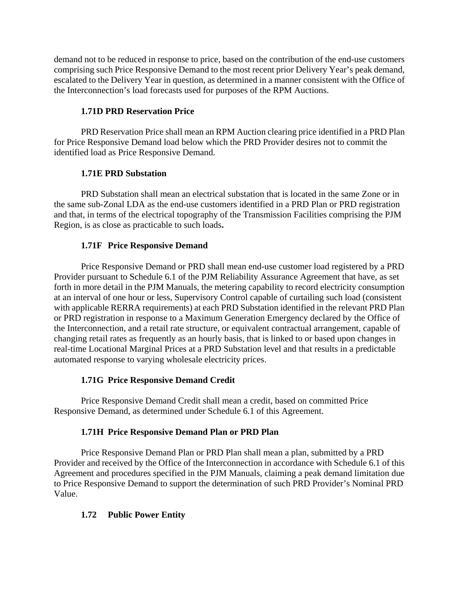demand not to be reduced in response to price, based on the contribution of the end-use customers comprising such Price Responsive Demand to the most recent prior Delivery Year's peak demand, escalated to the Delivery Year in question, as determined in a manner consistent with the Office of the Interconnection's load forecasts used for purposes of the RPM Auctions.

### **1.71D PRD Reservation Price**

PRD Reservation Price shall mean an RPM Auction clearing price identified in a PRD Plan for Price Responsive Demand load below which the PRD Provider desires not to commit the identified load as Price Responsive Demand.

### **1.71E PRD Substation**

PRD Substation shall mean an electrical substation that is located in the same Zone or in the same sub-Zonal LDA as the end-use customers identified in a PRD Plan or PRD registration and that, in terms of the electrical topography of the Transmission Facilities comprising the PJM Region, is as close as practicable to such loads**.**

### **1.71F Price Responsive Demand**

Price Responsive Demand or PRD shall mean end-use customer load registered by a PRD Provider pursuant to Schedule 6.1 of the PJM Reliability Assurance Agreement that have, as set forth in more detail in the PJM Manuals, the metering capability to record electricity consumption at an interval of one hour or less, Supervisory Control capable of curtailing such load (consistent with applicable RERRA requirements) at each PRD Substation identified in the relevant PRD Plan or PRD registration in response to a Maximum Generation Emergency declared by the Office of the Interconnection, and a retail rate structure, or equivalent contractual arrangement, capable of changing retail rates as frequently as an hourly basis, that is linked to or based upon changes in real-time Locational Marginal Prices at a PRD Substation level and that results in a predictable automated response to varying wholesale electricity prices.

### **1.71G Price Responsive Demand Credit**

Price Responsive Demand Credit shall mean a credit, based on committed Price Responsive Demand, as determined under Schedule 6.1 of this Agreement.

### **1.71H Price Responsive Demand Plan or PRD Plan**

Price Responsive Demand Plan or PRD Plan shall mean a plan, submitted by a PRD Provider and received by the Office of the Interconnection in accordance with Schedule 6.1 of this Agreement and procedures specified in the PJM Manuals, claiming a peak demand limitation due to Price Responsive Demand to support the determination of such PRD Provider's Nominal PRD Value.

## **1.72 Public Power Entity**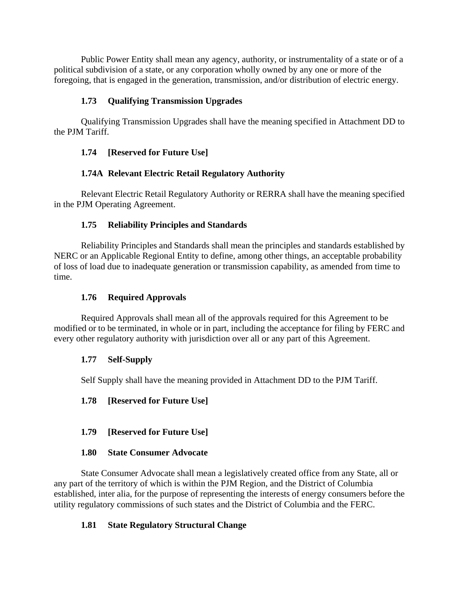Public Power Entity shall mean any agency, authority, or instrumentality of a state or of a political subdivision of a state, or any corporation wholly owned by any one or more of the foregoing, that is engaged in the generation, transmission, and/or distribution of electric energy.

### **1.73 Qualifying Transmission Upgrades**

Qualifying Transmission Upgrades shall have the meaning specified in Attachment DD to the PJM Tariff.

### **1.74 [Reserved for Future Use]**

## **1.74A Relevant Electric Retail Regulatory Authority**

Relevant Electric Retail Regulatory Authority or RERRA shall have the meaning specified in the PJM Operating Agreement.

### **1.75 Reliability Principles and Standards**

Reliability Principles and Standards shall mean the principles and standards established by NERC or an Applicable Regional Entity to define, among other things, an acceptable probability of loss of load due to inadequate generation or transmission capability, as amended from time to time.

### **1.76 Required Approvals**

Required Approvals shall mean all of the approvals required for this Agreement to be modified or to be terminated, in whole or in part, including the acceptance for filing by FERC and every other regulatory authority with jurisdiction over all or any part of this Agreement.

### **1.77 Self-Supply**

Self Supply shall have the meaning provided in Attachment DD to the PJM Tariff.

### **1.78 [Reserved for Future Use]**

**1.79 [Reserved for Future Use]** 

#### **1.80 State Consumer Advocate**

State Consumer Advocate shall mean a legislatively created office from any State, all or any part of the territory of which is within the PJM Region, and the District of Columbia established, inter alia, for the purpose of representing the interests of energy consumers before the utility regulatory commissions of such states and the District of Columbia and the FERC.

### **1.81 State Regulatory Structural Change**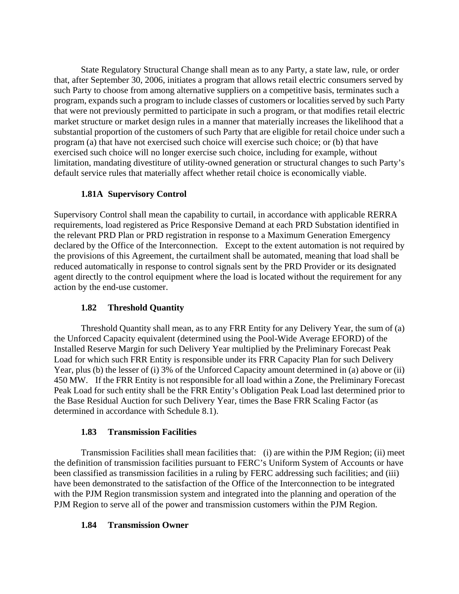State Regulatory Structural Change shall mean as to any Party, a state law, rule, or order that, after September 30, 2006, initiates a program that allows retail electric consumers served by such Party to choose from among alternative suppliers on a competitive basis, terminates such a program, expands such a program to include classes of customers or localities served by such Party that were not previously permitted to participate in such a program, or that modifies retail electric market structure or market design rules in a manner that materially increases the likelihood that a substantial proportion of the customers of such Party that are eligible for retail choice under such a program (a) that have not exercised such choice will exercise such choice; or (b) that have exercised such choice will no longer exercise such choice, including for example, without limitation, mandating divestiture of utility-owned generation or structural changes to such Party's default service rules that materially affect whether retail choice is economically viable.

## **1.81A Supervisory Control**

Supervisory Control shall mean the capability to curtail, in accordance with applicable RERRA requirements, load registered as Price Responsive Demand at each PRD Substation identified in the relevant PRD Plan or PRD registration in response to a Maximum Generation Emergency declared by the Office of the Interconnection. Except to the extent automation is not required by the provisions of this Agreement, the curtailment shall be automated, meaning that load shall be reduced automatically in response to control signals sent by the PRD Provider or its designated agent directly to the control equipment where the load is located without the requirement for any action by the end-use customer.

## **1.82 Threshold Quantity**

Threshold Quantity shall mean, as to any FRR Entity for any Delivery Year, the sum of (a) the Unforced Capacity equivalent (determined using the Pool-Wide Average EFORD) of the Installed Reserve Margin for such Delivery Year multiplied by the Preliminary Forecast Peak Load for which such FRR Entity is responsible under its FRR Capacity Plan for such Delivery Year, plus (b) the lesser of (i) 3% of the Unforced Capacity amount determined in (a) above or (ii) 450 MW. If the FRR Entity is not responsible for all load within a Zone, the Preliminary Forecast Peak Load for such entity shall be the FRR Entity's Obligation Peak Load last determined prior to the Base Residual Auction for such Delivery Year, times the Base FRR Scaling Factor (as determined in accordance with Schedule 8.1).

### **1.83 Transmission Facilities**

Transmission Facilities shall mean facilities that: (i) are within the PJM Region; (ii) meet the definition of transmission facilities pursuant to FERC's Uniform System of Accounts or have been classified as transmission facilities in a ruling by FERC addressing such facilities; and (iii) have been demonstrated to the satisfaction of the Office of the Interconnection to be integrated with the PJM Region transmission system and integrated into the planning and operation of the PJM Region to serve all of the power and transmission customers within the PJM Region.

### **1.84 Transmission Owner**